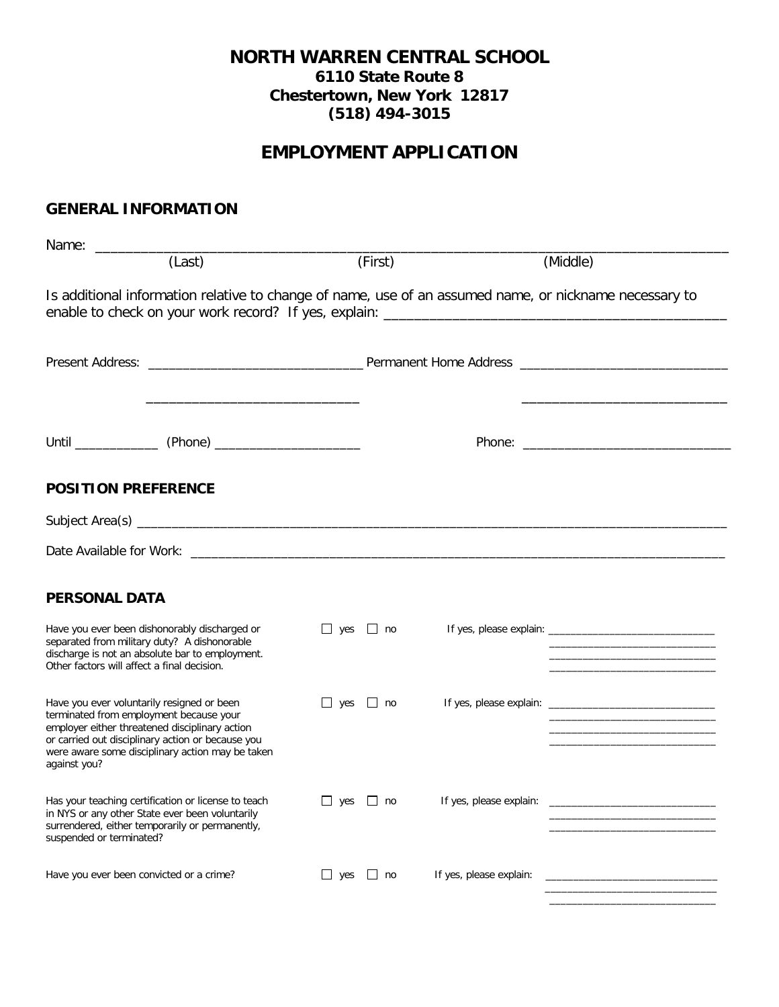# **NORTH WARREN CENTRAL SCHOOL 6110 State Route 8 Chestertown, New York 12817 (518) 494-3015**

# **EMPLOYMENT APPLICATION**

# **GENERAL INFORMATION**

| Name:                                                                                                                                                                                                                                                            |                      |                         |                                                                                                                                                                                                                                      |
|------------------------------------------------------------------------------------------------------------------------------------------------------------------------------------------------------------------------------------------------------------------|----------------------|-------------------------|--------------------------------------------------------------------------------------------------------------------------------------------------------------------------------------------------------------------------------------|
| (Last)                                                                                                                                                                                                                                                           | (First)              |                         | (Middle)                                                                                                                                                                                                                             |
| Is additional information relative to change of name, use of an assumed name, or nickname necessary to                                                                                                                                                           |                      |                         |                                                                                                                                                                                                                                      |
|                                                                                                                                                                                                                                                                  |                      |                         |                                                                                                                                                                                                                                      |
|                                                                                                                                                                                                                                                                  |                      |                         |                                                                                                                                                                                                                                      |
| <b>POSITION PREFERENCE</b>                                                                                                                                                                                                                                       |                      |                         |                                                                                                                                                                                                                                      |
|                                                                                                                                                                                                                                                                  |                      |                         |                                                                                                                                                                                                                                      |
|                                                                                                                                                                                                                                                                  |                      |                         |                                                                                                                                                                                                                                      |
| <b>PERSONAL DATA</b>                                                                                                                                                                                                                                             |                      |                         |                                                                                                                                                                                                                                      |
| Have you ever been dishonorably discharged or<br>separated from military duty? A dishonorable<br>discharge is not an absolute bar to employment.<br>Other factors will affect a final decision.                                                                  | $\Box$ yes $\Box$ no |                         |                                                                                                                                                                                                                                      |
| Have you ever voluntarily resigned or been<br>terminated from employment because your<br>employer either threatened disciplinary action<br>or carried out disciplinary action or because you<br>were aware some disciplinary action may be taken<br>against you? | $\Box$ yes $\Box$ no |                         |                                                                                                                                                                                                                                      |
| Has your teaching certification or license to teach<br>in NYS or any other State ever been voluntarily<br>surrendered, either temporarily or permanently,<br>suspended or terminated?                                                                            | $\Box$ yes $\Box$ no | If yes, please explain: | <u> 1989 - Johann Harry Harry Harry Harry Harry Harry Harry Harry Harry Harry Harry Harry Harry Harry Harry Harry Harry Harry Harry Harry Harry Harry Harry Harry Harry Harry Harry Harry Harry Harry Harry Harry Harry Harry Ha</u> |
| Have you ever been convicted or a crime?                                                                                                                                                                                                                         | $\Box$ yes $\Box$ no |                         |                                                                                                                                                                                                                                      |

\_\_\_\_\_\_\_\_\_\_\_\_\_\_\_\_\_\_\_\_\_\_\_\_\_\_\_\_\_\_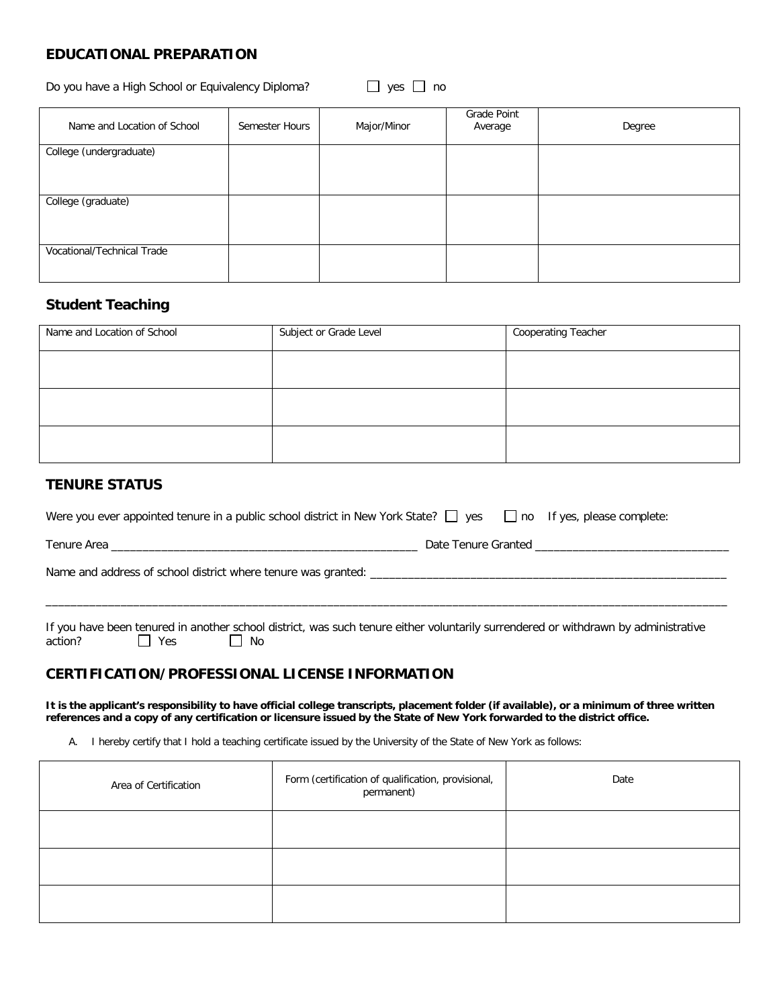## **EDUCATIONAL PREPARATION**

Do you have a High School or Equivalency Diploma?  $\Box$  yes  $\Box$  no

| Name and Location of School | Semester Hours | Major/Minor | Grade Point<br>Average | Degree |
|-----------------------------|----------------|-------------|------------------------|--------|
| College (undergraduate)     |                |             |                        |        |
| College (graduate)          |                |             |                        |        |
| Vocational/Technical Trade  |                |             |                        |        |

## **Student Teaching**

| Name and Location of School | Subject or Grade Level | Cooperating Teacher |
|-----------------------------|------------------------|---------------------|
|                             |                        |                     |
|                             |                        |                     |
|                             |                        |                     |
|                             |                        |                     |
|                             |                        |                     |
|                             |                        |                     |

#### **TENURE STATUS**

| Were you ever appointed tenure in a public school district in New York State? $\Box$ yes |                     | no If yes, please complete: |
|------------------------------------------------------------------------------------------|---------------------|-----------------------------|
| Tenure Area                                                                              | Date Tenure Granted |                             |
| Name and address of school district where tenure was granted:                            |                     |                             |

If you have been tenured in another school district, was such tenure either voluntarily surrendered or withdrawn by administrative action?  $\Box$  Yes

\_\_\_\_\_\_\_\_\_\_\_\_\_\_\_\_\_\_\_\_\_\_\_\_\_\_\_\_\_\_\_\_\_\_\_\_\_\_\_\_\_\_\_\_\_\_\_\_\_\_\_\_\_\_\_\_\_\_\_\_\_\_\_\_\_\_\_\_\_\_\_\_\_\_\_\_\_\_\_\_\_\_\_\_\_\_\_\_\_\_\_\_\_\_\_\_\_\_\_\_\_\_\_\_\_\_\_\_\_

# **CERTIFICATION/PROFESSIONAL LICENSE INFORMATION**

**It is the applicant's responsibility to have official college transcripts, placement folder (if available), or a minimum of three written references and a copy of any certification or licensure issued by the State of New York forwarded to the district office.** 

A. I hereby certify that I hold a teaching certificate issued by the University of the State of New York as follows:

| Area of Certification | Form (certification of qualification, provisional,<br>permanent) | Date |
|-----------------------|------------------------------------------------------------------|------|
|                       |                                                                  |      |
|                       |                                                                  |      |
|                       |                                                                  |      |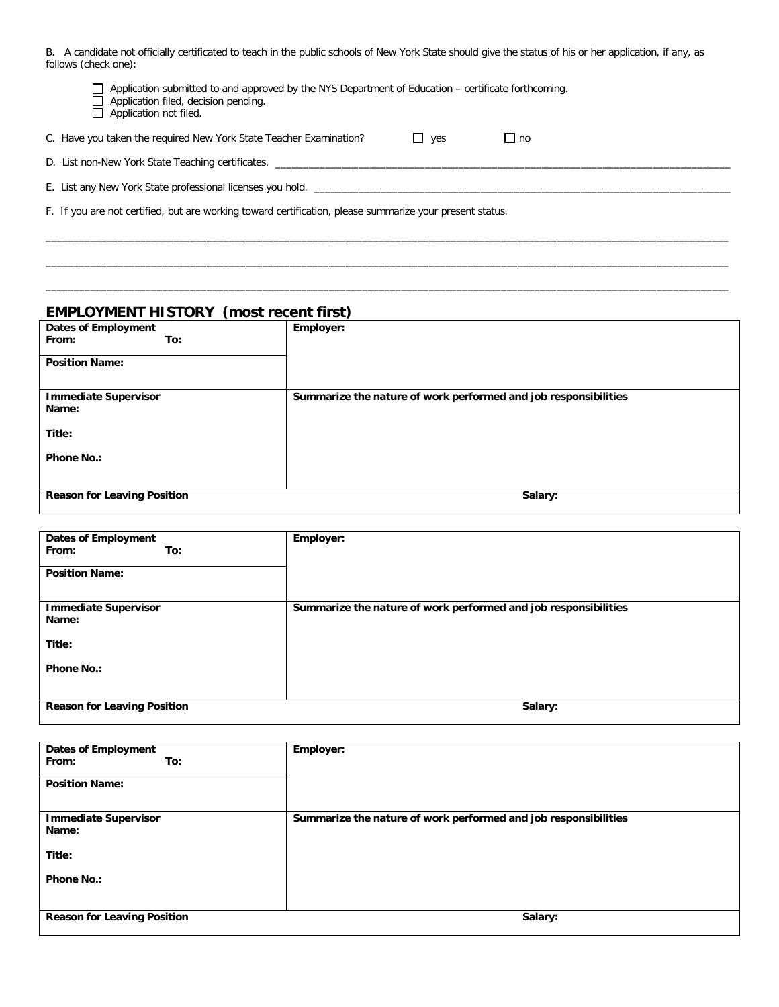B. A candidate not officially certificated to teach in the public schools of New York State should give the status of his or her application, if any, as follows (check one):

| Application submitted to and approved by the NYS Department of Education – certificate forthcoming.<br>Application filed, decision pending.<br>Application not filed. |  |  |  |  |
|-----------------------------------------------------------------------------------------------------------------------------------------------------------------------|--|--|--|--|
| C. Have you taken the required New York State Teacher Examination?<br>$\Box$ yes<br>l I no                                                                            |  |  |  |  |
| D. List non-New York State Teaching certificates.                                                                                                                     |  |  |  |  |
| E. List any New York State professional licenses you hold.                                                                                                            |  |  |  |  |
| F. If you are not certified, but are working toward certification, please summarize your present status.                                                              |  |  |  |  |

\_\_\_\_\_\_\_\_\_\_\_\_\_\_\_\_\_\_\_\_\_\_\_\_\_\_\_\_\_\_\_\_\_\_\_\_\_\_\_\_\_\_\_\_\_\_\_\_\_\_\_\_\_\_\_\_\_\_\_\_\_\_\_\_\_\_\_\_\_\_\_\_\_\_\_\_\_\_\_\_\_\_\_\_\_\_\_\_\_\_\_\_\_\_\_\_\_\_\_\_\_\_\_\_\_\_\_\_\_\_\_\_\_\_\_\_\_\_\_\_\_\_\_ \_\_\_\_\_\_\_\_\_\_\_\_\_\_\_\_\_\_\_\_\_\_\_\_\_\_\_\_\_\_\_\_\_\_\_\_\_\_\_\_\_\_\_\_\_\_\_\_\_\_\_\_\_\_\_\_\_\_\_\_\_\_\_\_\_\_\_\_\_\_\_\_\_\_\_\_\_\_\_\_\_\_\_\_\_\_\_\_\_\_\_\_\_\_\_\_\_\_\_\_\_\_\_\_\_\_\_\_\_\_\_\_\_\_\_\_\_\_\_\_\_\_\_ \_\_\_\_\_\_\_\_\_\_\_\_\_\_\_\_\_\_\_\_\_\_\_\_\_\_\_\_\_\_\_\_\_\_\_\_\_\_\_\_\_\_\_\_\_\_\_\_\_\_\_\_\_\_\_\_\_\_\_\_\_\_\_\_\_\_\_\_\_\_\_\_\_\_\_\_\_\_\_\_\_\_\_\_\_\_\_\_\_\_\_\_\_\_\_\_\_\_\_\_\_\_\_\_\_\_\_\_\_\_\_\_\_\_\_\_\_\_\_\_\_\_\_

## **EMPLOYMENT HISTORY (most recent first)**

| <b>Phone No.:</b>                          |                                                                 |
|--------------------------------------------|-----------------------------------------------------------------|
| Title:                                     |                                                                 |
| <b>Immediate Supervisor</b><br>Name:       | Summarize the nature of work performed and job responsibilities |
| <b>Position Name:</b>                      |                                                                 |
| <b>Dates of Employment</b><br>From:<br>To: | Employer:                                                       |

| <b>Dates of Employment</b><br>From:<br>To:<br><b>Position Name:</b> | Employer:                                                       |
|---------------------------------------------------------------------|-----------------------------------------------------------------|
| <b>Immediate Supervisor</b><br>Name:                                | Summarize the nature of work performed and job responsibilities |
| Title:                                                              |                                                                 |
| <b>Phone No.:</b>                                                   |                                                                 |
|                                                                     |                                                                 |
| <b>Reason for Leaving Position</b>                                  | Salary:                                                         |

| <b>Dates of Employment</b><br>From:<br>To:<br><b>Position Name:</b> | Employer:                                                       |
|---------------------------------------------------------------------|-----------------------------------------------------------------|
| <b>Immediate Supervisor</b><br>Name:                                | Summarize the nature of work performed and job responsibilities |
| Title:                                                              |                                                                 |
| <b>Phone No.:</b>                                                   |                                                                 |
| <b>Reason for Leaving Position</b>                                  | Salary:                                                         |